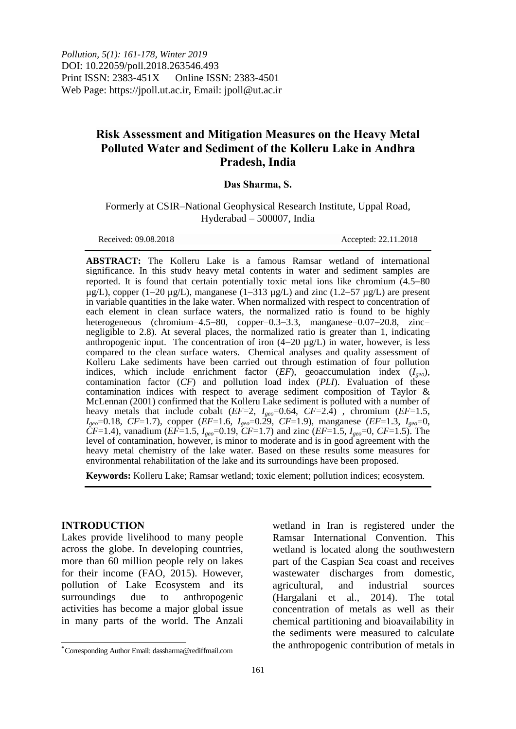*Pollution, 5(1): 161-178, Winter 2019* DOI: 10.22059/poll.2018.263546.493 Print ISSN: 2383-451X Online ISSN: 2383-4501 Web Page: https://jpoll.ut.ac.ir, Email: jpoll@ut.ac.ir

# **Risk Assessment and Mitigation Measures on the Heavy Metal Polluted Water and Sediment of the Kolleru Lake in Andhra Pradesh, India**

### **Das Sharma, S.**

Formerly at CSIR–National Geophysical Research Institute, Uppal Road, Hyderabad – 500007, India

Received: 09.08.2018 Accepted: 22.11.2018

**ABSTRACT:** The Kolleru Lake is a famous Ramsar wetland of international significance. In this study heavy metal contents in water and sediment samples are reported. It is found that certain potentially toxic metal ions like chromium  $(4.5-80)$  $\mu$ g/L), copper (1–20  $\mu$ g/L), manganese (1–313  $\mu$ g/L) and zinc (1.2–57  $\mu$ g/L) are present in variable quantities in the lake water. When normalized with respect to concentration of each element in clean surface waters, the normalized ratio is found to be highly heterogeneous (chromium=4.5-80, copper=0.3-3.3, manganese=0.07-20.8, zinc= negligible to 2.8). At several places, the normalized ratio is greater than 1, indicating anthropogenic input. The concentration of iron  $(4-20 \text{ kg/L})$  in water, however, is less compared to the clean surface waters. Chemical analyses and quality assessment of Kolleru Lake sediments have been carried out through estimation of four pollution indices, which include enrichment factor (*EF*), geoaccumulation index (*Igeo*), contamination factor (*CF*) and pollution load index (*PLI*). Evaluation of these contamination indices with respect to average sediment composition of Taylor & McLennan (2001) confirmed that the Kolleru Lake sediment is polluted with a number of heavy metals that include cobalt (*EF*=2, *Igeo*=0.64, *CF*=2.4) , chromium (*EF*=1.5, *Igeo*=0.18, *CF*=1.7), copper (*EF*=1.6, *Igeo*=0.29, *CF*=1.9), manganese (*EF*=1.3, *Igeo*=0,  $\overline{CF}$ =1.4), vanadium (*EF*=1.5, *I<sub>geo</sub>*=0.19, *CF*=1.7) and zinc (*EF*=1.5, *I<sub>geo</sub>*=0, *CF*=1.5). The level of contamination, however, is minor to moderate and is in good agreement with the heavy metal chemistry of the lake water. Based on these results some measures for environmental rehabilitation of the lake and its surroundings have been proposed.

**Keywords:** Kolleru Lake; Ramsar wetland; toxic element; pollution indices; ecosystem.

### **INTRODUCTION**

 $\overline{\phantom{a}}$ 

Lakes provide livelihood to many people across the globe. In developing countries, more than 60 million people rely on lakes for their income (FAO, 2015). However, pollution of Lake Ecosystem and its surroundings due to anthropogenic activities has become a major global issue in many parts of the world. The Anzali

wetland in Iran is registered under the Ramsar International Convention. This wetland is located along the southwestern part of the Caspian Sea coast and receives wastewater discharges from domestic, agricultural, and industrial sources (Hargalani et al., 2014). The total concentration of metals as well as their chemical partitioning and bioavailability in the sediments were measured to calculate the anthropogenic contribution of metals in

**<sup>\*</sup>** Corresponding Author Email: dassharma@rediffmail.com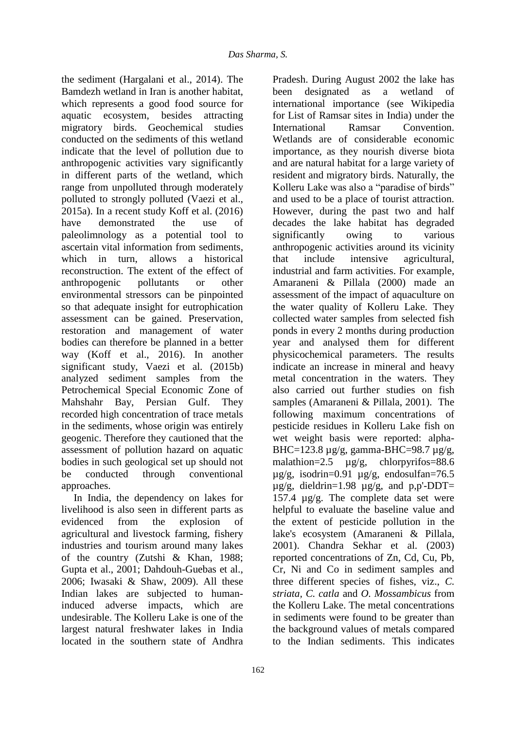the sediment (Hargalani et al., 2014). The Bamdezh wetland in Iran is another habitat, which represents a good food source for aquatic ecosystem, besides attracting migratory birds. Geochemical studies conducted on the sediments of this wetland indicate that the level of pollution due to anthropogenic activities vary significantly in different parts of the wetland, which range from unpolluted through moderately polluted to strongly polluted (Vaezi et al., 2015a). In a recent study Koff et al. (2016) have demonstrated the use of paleolimnology as a potential tool to ascertain vital information from sediments, which in turn, allows a historical reconstruction. The extent of the effect of anthropogenic pollutants or other environmental stressors can be pinpointed so that adequate insight for eutrophication assessment can be gained. Preservation, restoration and management of water bodies can therefore be planned in a better way (Koff et al., 2016). In another significant study, Vaezi et al. (2015b) analyzed sediment samples from the Petrochemical Special Economic Zone of Mahshahr Bay, Persian Gulf. They recorded high concentration of trace metals in the sediments, whose origin was entirely geogenic. Therefore they cautioned that the assessment of pollution hazard on aquatic bodies in such geological set up should not be conducted through conventional approaches.

In India, the dependency on lakes for livelihood is also seen in different parts as evidenced from the explosion of agricultural and livestock farming, fishery industries and tourism around many lakes of the country (Zutshi & Khan, 1988; Gupta et al., 2001; Dahdouh-Guebas et al., 2006; Iwasaki & Shaw, 2009). All these Indian lakes are subjected to humaninduced adverse impacts, which are undesirable. The Kolleru Lake is one of the largest natural freshwater lakes in India located in the southern state of Andhra

Pradesh. During August 2002 the lake has been designated as a wetland of international importance (see Wikipedia for List of Ramsar sites in India) under the International Ramsar Convention. Wetlands are of considerable economic importance, as they nourish diverse biota and are natural habitat for a large variety of resident and migratory birds. Naturally, the Kolleru Lake was also a "paradise of birds" and used to be a place of tourist attraction. However, during the past two and half decades the lake habitat has degraded significantly owing to various anthropogenic activities around its vicinity that include intensive agricultural, industrial and farm activities. For example, Amaraneni & Pillala (2000) made an assessment of the impact of aquaculture on the water quality of Kolleru Lake. They collected water samples from selected fish ponds in every 2 months during production year and analysed them for different physicochemical parameters. The results indicate an increase in mineral and heavy metal concentration in the waters. They also carried out further studies on fish samples (Amaraneni & Pillala, 2001). The following maximum concentrations of pesticide residues in Kolleru Lake fish on wet weight basis were reported: alpha-BHC=123.8 µg/g, gamma-BHC=98.7 µg/g, malathion=2.5 µg/g, chlorpyrifos=88.6  $\mu$ g/g, isodrin=0.91  $\mu$ g/g, endosulfan=76.5  $\mu$ g/g, dieldrin=1.98  $\mu$ g/g, and p,p'-DDT= 157.4 µg/g. The complete data set were helpful to evaluate the baseline value and the extent of pesticide pollution in the lake's ecosystem (Amaraneni & Pillala, 2001). Chandra Sekhar et al. (2003) reported concentrations of Zn, Cd, Cu, Pb, Cr, Ni and Co in sediment samples and three different species of fishes, viz., *C. striata, C. catla* and *O. Mossambicus* from the Kolleru Lake. The metal concentrations in sediments were found to be greater than the background values of metals compared to the Indian sediments. This indicates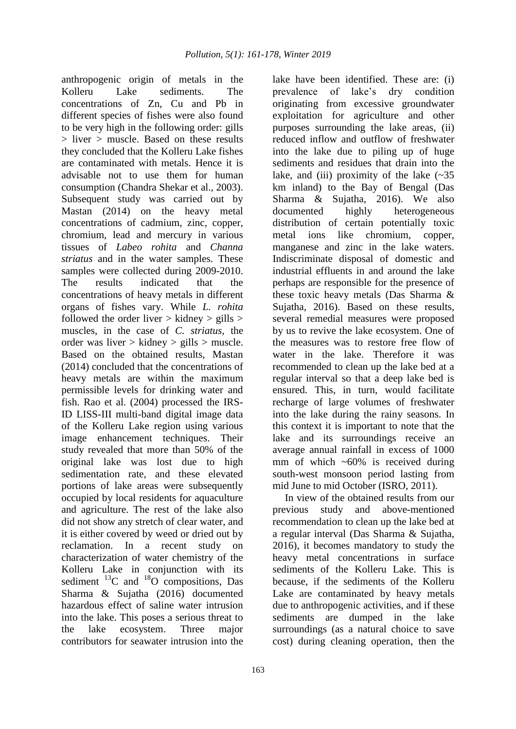anthropogenic origin of metals in the Kolleru Lake sediments. The concentrations of Zn, Cu and Pb in different species of fishes were also found to be very high in the following order: gills  $>$  liver  $>$  muscle. Based on these results they concluded that the Kolleru Lake fishes are contaminated with metals. Hence it is advisable not to use them for human consumption (Chandra Shekar et al., 2003). Subsequent study was carried out by Mastan (2014) on the heavy metal concentrations of cadmium, zinc, copper, chromium, lead and mercury in various tissues of *Labeo rohita* and *Channa striatus* and in the water samples. These samples were collected during 2009-2010. The results indicated that the concentrations of heavy metals in different organs of fishes vary. While *L. rohita* followed the order liver  $>$  kidney  $>$  gills  $>$ muscles, in the case of *C. striatus,* the order was liver  $>$  kidney  $>$  gills  $>$  muscle. Based on the obtained results, Mastan (2014) concluded that the concentrations of heavy metals are within the maximum permissible levels for drinking water and fish. Rao et al. (2004) processed the IRS-ID LISS-III multi-band digital image data of the Kolleru Lake region using various image enhancement techniques. Their study revealed that more than 50% of the original lake was lost due to high sedimentation rate, and these elevated portions of lake areas were subsequently occupied by local residents for aquaculture and agriculture. The rest of the lake also did not show any stretch of clear water, and it is either covered by weed or dried out by reclamation. In a recent study on characterization of water chemistry of the Kolleru Lake in conjunction with its sediment  $^{13}$ C and  $^{18}$ O compositions, Das Sharma & Sujatha (2016) documented hazardous effect of saline water intrusion into the lake. This poses a serious threat to the lake ecosystem. Three major contributors for seawater intrusion into the

lake have been identified. These are: (i) prevalence of lake's dry condition originating from excessive groundwater exploitation for agriculture and other purposes surrounding the lake areas, (ii) reduced inflow and outflow of freshwater into the lake due to piling up of huge sediments and residues that drain into the lake, and (iii) proximity of the lake  $(\sim 35)$ km inland) to the Bay of Bengal (Das Sharma & Sujatha, 2016). We also documented highly heterogeneous distribution of certain potentially toxic metal ions like chromium, copper, manganese and zinc in the lake waters. Indiscriminate disposal of domestic and industrial effluents in and around the lake perhaps are responsible for the presence of these toxic heavy metals (Das Sharma & Sujatha, 2016). Based on these results, several remedial measures were proposed by us to revive the lake ecosystem. One of the measures was to restore free flow of water in the lake. Therefore it was recommended to clean up the lake bed at a regular interval so that a deep lake bed is ensured. This, in turn, would facilitate recharge of large volumes of freshwater into the lake during the rainy seasons. In this context it is important to note that the lake and its surroundings receive an average annual rainfall in excess of 1000 mm of which  $\sim 60\%$  is received during south-west monsoon period lasting from mid June to mid October (ISRO, 2011). In view of the obtained results from our

previous study and above-mentioned recommendation to clean up the lake bed at a regular interval (Das Sharma & Sujatha, 2016), it becomes mandatory to study the heavy metal concentrations in surface sediments of the Kolleru Lake. This is because, if the sediments of the Kolleru Lake are contaminated by heavy metals due to anthropogenic activities, and if these sediments are dumped in the lake surroundings (as a natural choice to save cost) during cleaning operation, then the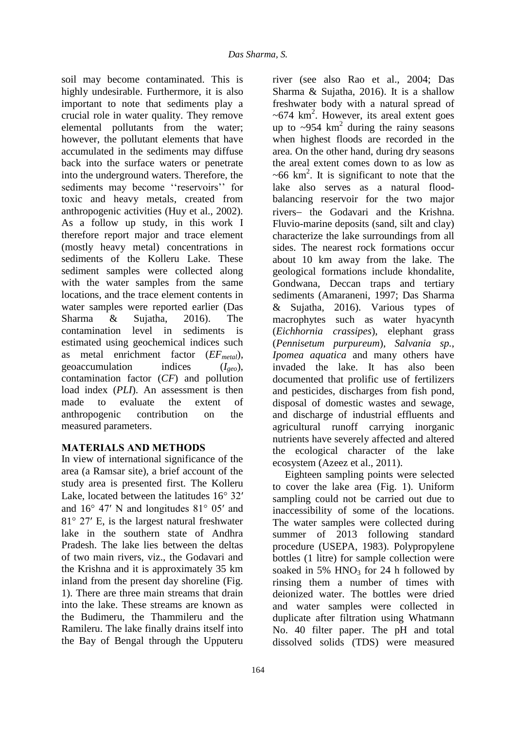soil may become contaminated. This is highly undesirable. Furthermore, it is also important to note that sediments play a crucial role in water quality. They remove elemental pollutants from the water; however, the pollutant elements that have accumulated in the sediments may diffuse back into the surface waters or penetrate into the underground waters. Therefore, the sediments may become "reservoirs" for toxic and heavy metals, created from anthropogenic activities (Huy et al., 2002). As a follow up study, in this work I therefore report major and trace element (mostly heavy metal) concentrations in sediments of the Kolleru Lake. These sediment samples were collected along with the water samples from the same locations, and the trace element contents in water samples were reported earlier (Das Sharma & Sujatha, 2016). The contamination level in sediments is estimated using geochemical indices such as metal enrichment factor (*EFmetal*), geoaccumulation indices (*Igeo*), contamination factor (*CF*) and pollution load index (*PLI*). An assessment is then made to evaluate the extent of anthropogenic contribution on the measured parameters.

# **MATERIALS AND METHODS**

In view of international significance of the area (a Ramsar site), a brief account of the study area is presented first. The Kolleru Lake, located between the latitudes  $16^{\circ}$  32' and  $16^{\circ}$  47' N and longitudes  $81^{\circ}$  05' and  $81^\circ$  27′ E, is the largest natural freshwater lake in the southern state of Andhra Pradesh. The lake lies between the deltas of two main rivers, viz., the Godavari and the Krishna and it is approximately 35 km inland from the present day shoreline (Fig. 1). There are three main streams that drain into the lake. These streams are known as the Budimeru, the Thammileru and the Ramileru. The lake finally drains itself into the Bay of Bengal through the Upputeru river (see also Rao et al., 2004; Das Sharma & Sujatha, 2016). It is a shallow freshwater body with a natural spread of  $~5$ -674 km<sup>2</sup>. However, its areal extent goes up to  $\sim$ 954 km<sup>2</sup> during the rainy seasons when highest floods are recorded in the area. On the other hand, during dry seasons the areal extent comes down to as low as  $\sim 66$  km<sup>2</sup>. It is significant to note that the lake also serves as a natural floodbalancing reservoir for the two major rivers- the Godavari and the Krishna. Fluvio-marine deposits (sand, silt and clay) characterize the lake surroundings from all sides. The nearest rock formations occur about 10 km away from the lake. The geological formations include khondalite, Gondwana, Deccan traps and tertiary sediments (Amaraneni, 1997; Das Sharma & Sujatha, 2016). Various types of macrophytes such as water hyacynth (*Eichhornia crassipes*), elephant grass (*Pennisetum purpureum*), *Salvania sp.*, *Ipomea aquatica* and many others have invaded the lake. It has also been documented that prolific use of fertilizers and pesticides, discharges from fish pond, disposal of domestic wastes and sewage, and discharge of industrial effluents and agricultural runoff carrying inorganic nutrients have severely affected and altered the ecological character of the lake ecosystem (Azeez et al., 2011).

Eighteen sampling points were selected to cover the lake area (Fig. 1). Uniform sampling could not be carried out due to inaccessibility of some of the locations. The water samples were collected during summer of 2013 following standard procedure (USEPA, 1983). Polypropylene bottles (1 litre) for sample collection were soaked in 5%  $HNO<sub>3</sub>$  for 24 h followed by rinsing them a number of times with deionized water. The bottles were dried and water samples were collected in duplicate after filtration using Whatmann No. 40 filter paper. The pH and total dissolved solids (TDS) were measured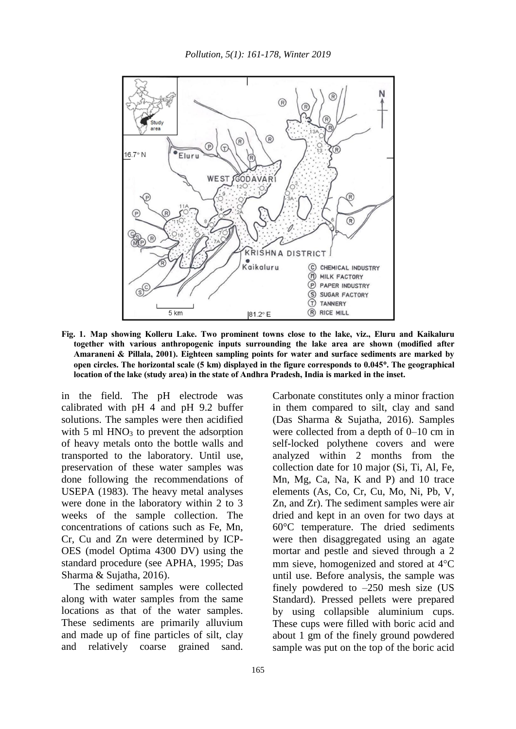

**Fig. 1. Map showing Kolleru Lake. Two prominent towns close to the lake, viz., Eluru and Kaikaluru together with various anthropogenic inputs surrounding the lake area are shown (modified after Amaraneni & Pillala, 2001). Eighteen sampling points for water and surface sediments are marked by open circles. The horizontal scale (5 km) displayed in the figure corresponds to 0.045. The geographical location of the lake (study area) in the state of Andhra Pradesh, India is marked in the inset.**

in the field. The pH electrode was calibrated with pH 4 and pH 9.2 buffer solutions. The samples were then acidified with 5 ml  $HNO<sub>3</sub>$  to prevent the adsorption of heavy metals onto the bottle walls and transported to the laboratory. Until use, preservation of these water samples was done following the recommendations of USEPA (1983). The heavy metal analyses were done in the laboratory within 2 to 3 weeks of the sample collection. The concentrations of cations such as Fe, Mn, Cr, Cu and Zn were determined by ICP-OES (model Optima 4300 DV) using the standard procedure (see APHA, 1995; Das Sharma & Sujatha, 2016).

The sediment samples were collected along with water samples from the same locations as that of the water samples. These sediments are primarily alluvium and made up of fine particles of silt, clay and relatively coarse grained sand.

Carbonate constitutes only a minor fraction in them compared to silt, clay and sand (Das Sharma & Sujatha, 2016). Samples were collected from a depth of 0–10 cm in self-locked polythene covers and were analyzed within 2 months from the collection date for 10 major (Si, Ti, Al, Fe, Mn, Mg, Ca, Na, K and P) and 10 trace elements (As, Co, Cr, Cu, Mo, Ni, Pb, V, Zn, and Zr). The sediment samples were air dried and kept in an oven for two days at 60°C temperature. The dried sediments were then disaggregated using an agate mortar and pestle and sieved through a 2 mm sieve, homogenized and stored at  $4^{\circ}C$ until use. Before analysis, the sample was finely powdered to  $-250$  mesh size (US Standard). Pressed pellets were prepared by using collapsible aluminium cups. These cups were filled with boric acid and about 1 gm of the finely ground powdered sample was put on the top of the boric acid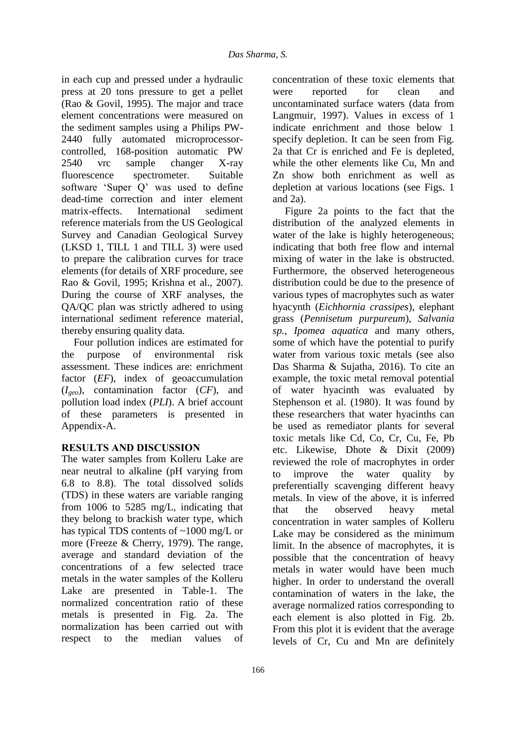in each cup and pressed under a hydraulic press at 20 tons pressure to get a pellet (Rao & Govil, 1995). The major and trace element concentrations were measured on the sediment samples using a Philips PW-2440 fully automated microprocessorcontrolled, 168-position automatic PW 2540 vrc sample changer X-ray fluorescence spectrometer. Suitable software 'Super Q' was used to define dead-time correction and inter element matrix-effects. International sediment reference materials from the US Geological Survey and Canadian Geological Survey (LKSD 1, TILL 1 and TILL 3) were used to prepare the calibration curves for trace elements (for details of XRF procedure, see Rao & Govil, 1995; Krishna et al., 2007). During the course of XRF analyses, the QA/QC plan was strictly adhered to using international sediment reference material, thereby ensuring quality data.

Four pollution indices are estimated for the purpose of environmental risk assessment. These indices are: enrichment factor (*EF*), index of geoaccumulation (*Igeo*), contamination factor (*CF*), and pollution load index (*PLI*). A brief account of these parameters is presented in Appendix-A.

# **RESULTS AND DISCUSSION**

The water samples from Kolleru Lake are near neutral to alkaline (pH varying from 6.8 to 8.8). The total dissolved solids (TDS) in these waters are variable ranging from 1006 to 5285 mg/L, indicating that they belong to brackish water type, which has typical TDS contents of ~1000 mg/L or more (Freeze & Cherry, 1979). The range, average and standard deviation of the concentrations of a few selected trace metals in the water samples of the Kolleru Lake are presented in Table-1. The normalized concentration ratio of these metals is presented in Fig. 2a. The normalization has been carried out with respect to the median values of

concentration of these toxic elements that were reported for clean and uncontaminated surface waters (data from Langmuir, 1997). Values in excess of 1 indicate enrichment and those below 1 specify depletion. It can be seen from Fig. 2a that Cr is enriched and Fe is depleted, while the other elements like Cu, Mn and Zn show both enrichment as well as depletion at various locations (see Figs. 1 and 2a).

Figure 2a points to the fact that the distribution of the analyzed elements in water of the lake is highly heterogeneous: indicating that both free flow and internal mixing of water in the lake is obstructed. Furthermore, the observed heterogeneous distribution could be due to the presence of various types of macrophytes such as water hyacynth (*Eichhornia crassipes*), elephant grass (*Pennisetum purpureum*), *Salvania sp.*, *Ipomea aquatica* and many others, some of which have the potential to purify water from various toxic metals (see also Das Sharma & Sujatha, 2016). To cite an example, the toxic metal removal potential of water hyacinth was evaluated by Stephenson et al. (1980). It was found by these researchers that water hyacinths can be used as remediator plants for several toxic metals like Cd, Co, Cr, Cu, Fe, Pb etc. Likewise, Dhote & Dixit (2009) reviewed the role of macrophytes in order to improve the water quality by preferentially scavenging different heavy metals. In view of the above, it is inferred that the observed heavy metal concentration in water samples of Kolleru Lake may be considered as the minimum limit. In the absence of macrophytes, it is possible that the concentration of heavy metals in water would have been much higher. In order to understand the overall contamination of waters in the lake, the average normalized ratios corresponding to each element is also plotted in Fig. 2b. From this plot it is evident that the average levels of Cr, Cu and Mn are definitely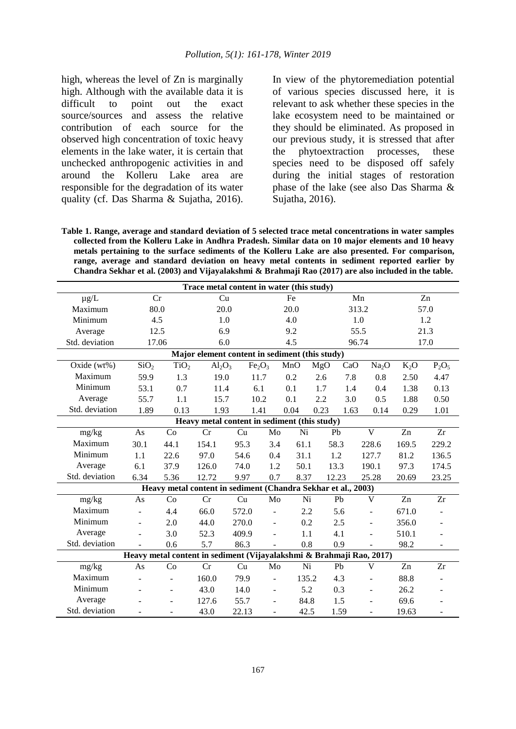high, whereas the level of Zn is marginally high. Although with the available data it is difficult to point out the exact source/sources and assess the relative contribution of each source for the observed high concentration of toxic heavy elements in the lake water, it is certain that unchecked anthropogenic activities in and around the Kolleru Lake area are responsible for the degradation of its water quality (cf. Das Sharma & Sujatha, 2016).

In view of the phytoremediation potential of various species discussed here, it is relevant to ask whether these species in the lake ecosystem need to be maintained or they should be eliminated. As proposed in our previous study, it is stressed that after the phytoextraction processes, these species need to be disposed off safely during the initial stages of restoration phase of the lake (see also Das Sharma & Sujatha, 2016).

**Table 1. Range, average and standard deviation of 5 selected trace metal concentrations in water samples collected from the Kolleru Lake in Andhra Pradesh. Similar data on 10 major elements and 10 heavy metals pertaining to the surface sediments of the Kolleru Lake are also presented. For comparison, range, average and standard deviation on heavy metal contents in sediment reported earlier by Chandra Sekhar et al. (2003) and Vijayalakshmi & Brahmaji Rao (2017) are also included in the table.**

| Trace metal content in water (this study)      |                  |                          |                                                                      |                                |                          |       |       |       |                              |                |                          |  |
|------------------------------------------------|------------------|--------------------------|----------------------------------------------------------------------|--------------------------------|--------------------------|-------|-------|-------|------------------------------|----------------|--------------------------|--|
| $\mu g/L$                                      | Cr               |                          | Cu                                                                   | Fe                             |                          |       |       | Mn    |                              | Zn             |                          |  |
| Maximum                                        | 80.0             |                          |                                                                      | 20.0<br>20.0                   |                          |       |       | 313.2 |                              |                | 57.0                     |  |
| Minimum                                        | 4.5              |                          |                                                                      | 1.0<br>4.0                     |                          |       |       | 1.0   |                              | 1.2            |                          |  |
| Average                                        | 12.5             |                          | 6.9                                                                  |                                |                          | 9.2   |       | 55.5  |                              | 21.3           |                          |  |
| Std. deviation                                 | 17.06            |                          | 6.0                                                                  |                                |                          | 4.5   |       | 96.74 |                              | 17.0           |                          |  |
| Major element content in sediment (this study) |                  |                          |                                                                      |                                |                          |       |       |       |                              |                |                          |  |
| Oxide (wt%)                                    | SiO <sub>2</sub> | TiO <sub>2</sub>         | $Al_2O_3$                                                            | Fe <sub>2</sub> O <sub>3</sub> |                          | MnO   | MgO   | CaO   | Na <sub>2</sub> O            | $K_2O$         | $P_2O_5$                 |  |
| Maximum                                        | 59.9             | 1.3                      | 19.0                                                                 | 11.7                           |                          | 0.2   | 2.6   | 7.8   | 0.8                          | 2.50           | 4.47                     |  |
| Minimum                                        | 53.1             | 0.7                      | 11.4                                                                 | 6.1                            |                          | 0.1   | 1.7   | 1.4   | 0.4                          | 1.38           | 0.13                     |  |
| Average                                        | 55.7             | 1.1                      | 15.7                                                                 | 10.2                           |                          | 0.1   | 2.2   | 3.0   | 0.5                          | 1.88           | 0.50                     |  |
| Std. deviation                                 | 1.89             | 0.13                     | 1.93                                                                 | 1.41                           |                          | 0.04  | 0.23  | 1.63  | 0.14                         | 0.29           | 1.01                     |  |
| Heavy metal content in sediment (this study)   |                  |                          |                                                                      |                                |                          |       |       |       |                              |                |                          |  |
| mg/kg                                          | As               | Co                       | Cr                                                                   | Cu                             | Mo                       | Ni    | Pb    |       | $\overline{\mathbf{V}}$      | Zn             | Zr                       |  |
| Maximum                                        | 30.1             | 44.1                     | 154.1                                                                | 95.3                           | 3.4                      | 61.1  | 58.3  |       | 228.6                        | 169.5          | 229.2                    |  |
| Minimum                                        | 1.1              | 22.6                     | 97.0                                                                 | 54.6                           | 0.4                      | 31.1  | 1.2   |       | 127.7                        | 81.2           | 136.5                    |  |
| Average                                        | 6.1              | 37.9                     | 126.0                                                                | 74.0                           | 1.2                      | 50.1  |       | 13.3  | 190.1                        | 97.3           | 174.5                    |  |
| Std. deviation                                 | 6.34             | 5.36                     | 12.72                                                                | 9.97                           | 0.7                      | 8.37  | 12.23 |       | 25.28                        | 20.69          | 23.25                    |  |
|                                                |                  |                          | Heavy metal content in sediment (Chandra Sekhar et al., 2003)        |                                |                          |       |       |       |                              |                |                          |  |
| mg/kg                                          | As               | Co                       | Cr                                                                   | Cu                             | Mo                       | Ni    |       | Pb    | $\overline{\mathsf{V}}$      | Zn             | Zr                       |  |
| Maximum                                        |                  | 4.4                      | 66.0                                                                 | 572.0                          |                          | 2.2   |       | 5.6   | ÷                            | 671.0          |                          |  |
| Minimum                                        | ÷                | 2.0                      | 44.0                                                                 | 270.0                          | $\overline{a}$           | 0.2   |       | 2.5   | $\overline{a}$               | 356.0          | $\blacksquare$           |  |
| Average                                        |                  | 3.0                      | 52.3                                                                 | 409.9                          | $\overline{a}$           | 1.1   |       | 4.1   | ÷                            | 510.1          |                          |  |
| Std. deviation                                 | ÷.               | 0.6                      | 5.7                                                                  | 86.3                           | ÷.                       | 0.8   |       | 0.9   | ÷                            | 98.2           | $\blacksquare$           |  |
|                                                |                  |                          | Heavy metal content in sediment (Vijayalakshmi & Brahmaji Rao, 2017) |                                |                          |       |       |       |                              |                |                          |  |
| mg/kg                                          | As               | Co                       | Cr                                                                   | Cu                             | Mo                       | Ni    |       | Pb    | V                            | Z <sub>n</sub> | Zr                       |  |
| Maximum                                        |                  | ÷,                       | 160.0                                                                | 79.9                           | $\overline{a}$           | 135.2 |       | 4.3   | ÷,                           | 88.8           |                          |  |
| Minimum                                        |                  | ÷,                       | 43.0                                                                 | 14.0                           | $\overline{\phantom{a}}$ | 5.2   |       | 0.3   | $\qquad \qquad \blacksquare$ | 26.2           |                          |  |
| Average                                        |                  | ÷                        | 127.6                                                                | 55.7                           | $\overline{\phantom{a}}$ | 84.8  |       | 1.5   |                              | 69.6           |                          |  |
| Std. deviation                                 | ۰                | $\overline{\phantom{a}}$ | 43.0                                                                 | 22.13                          | $\overline{\phantom{a}}$ | 42.5  |       | 1.59  | ÷,                           | 19.63          | $\overline{\phantom{a}}$ |  |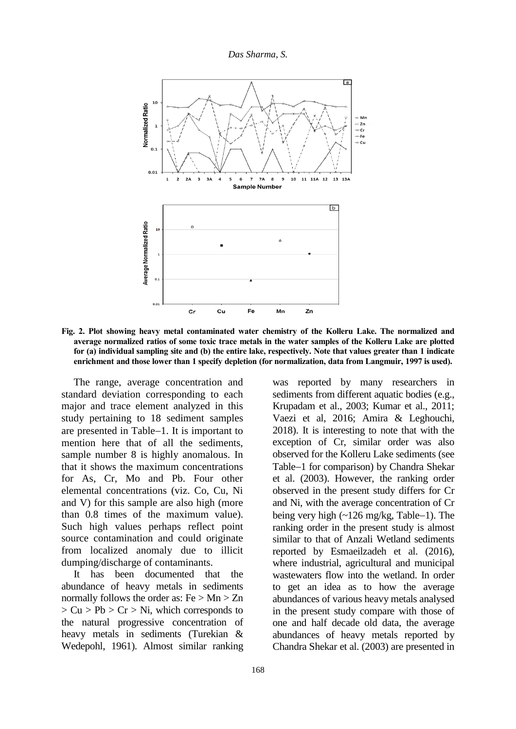

**Fig. 2. Plot showing heavy metal contaminated water chemistry of the Kolleru Lake. The normalized and average normalized ratios of some toxic trace metals in the water samples of the Kolleru Lake are plotted for (a) individual sampling site and (b) the entire lake, respectively. Note that values greater than 1 indicate enrichment and those lower than 1 specify depletion (for normalization, data from Langmuir, 1997 is used).**

The range, average concentration and standard deviation corresponding to each major and trace element analyzed in this study pertaining to 18 sediment samples are presented in Table-1. It is important to mention here that of all the sediments, sample number 8 is highly anomalous. In that it shows the maximum concentrations for As, Cr, Mo and Pb. Four other elemental concentrations (viz. Co, Cu, Ni and V) for this sample are also high (more than 0.8 times of the maximum value). Such high values perhaps reflect point source contamination and could originate from localized anomaly due to illicit dumping/discharge of contaminants.

It has been documented that the abundance of heavy metals in sediments normally follows the order as:  $Fe > Mn > Zn$  $> Cu > Pb > Cr > Ni$ , which corresponds to the natural progressive concentration of heavy metals in sediments (Turekian & Wedepohl, 1961). Almost similar ranking

was reported by many researchers in sediments from different aquatic bodies (e.g., Krupadam et al., 2003; Kumar et al., 2011; Vaezi et al, 2016; Amira & Leghouchi, 2018). It is interesting to note that with the exception of Cr, similar order was also observed for the Kolleru Lake sediments (see Table-1 for comparison) by Chandra Shekar et al. (2003). However, the ranking order observed in the present study differs for Cr and Ni, with the average concentration of Cr being very high  $\left(\frac{126 \text{ mg}}{kg}, \text{Table}-1\right)$ . The ranking order in the present study is almost similar to that of Anzali Wetland sediments reported by Esmaeilzadeh et al. (2016), where industrial, agricultural and municipal wastewaters flow into the wetland. In order to get an idea as to how the average abundances of various heavy metals analysed in the present study compare with those of one and half decade old data, the average abundances of heavy metals reported by Chandra Shekar et al. (2003) are presented in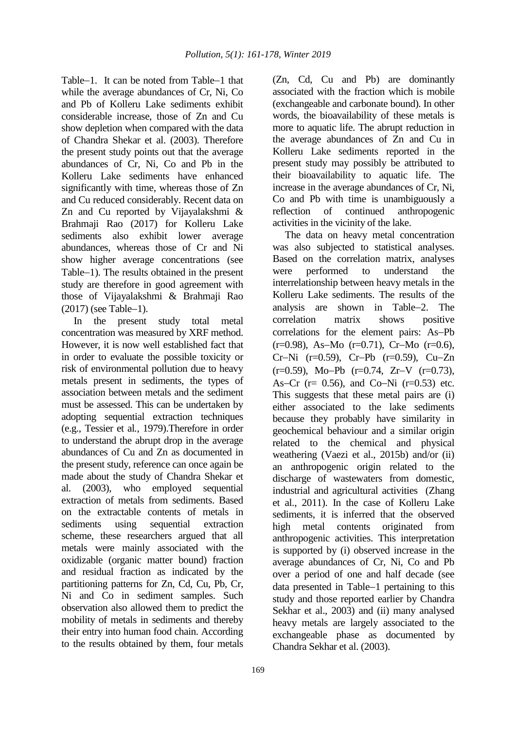Table-1. It can be noted from Table-1 that while the average abundances of Cr, Ni, Co and Pb of Kolleru Lake sediments exhibit considerable increase, those of Zn and Cu show depletion when compared with the data of Chandra Shekar et al. (2003). Therefore the present study points out that the average abundances of Cr, Ni, Co and Pb in the Kolleru Lake sediments have enhanced significantly with time, whereas those of Zn and Cu reduced considerably. Recent data on Zn and Cu reported by Vijayalakshmi & Brahmaji Rao (2017) for Kolleru Lake sediments also exhibit lower average abundances, whereas those of Cr and Ni show higher average concentrations (see Table–1). The results obtained in the present study are therefore in good agreement with those of Vijayalakshmi & Brahmaji Rao  $(2017)$  (see Table-1).

In the present study total metal concentration was measured by XRF method. However, it is now well established fact that in order to evaluate the possible toxicity or risk of environmental pollution due to heavy metals present in sediments, the types of association between metals and the sediment must be assessed. This can be undertaken by adopting sequential extraction techniques (e.g., Tessier et al*.*, 1979).Therefore in order to understand the abrupt drop in the average abundances of Cu and Zn as documented in the present study, reference can once again be made about the study of Chandra Shekar et al. (2003), who employed sequential extraction of metals from sediments. Based on the extractable contents of metals in sediments using sequential extraction scheme, these researchers argued that all metals were mainly associated with the oxidizable (organic matter bound) fraction and residual fraction as indicated by the partitioning patterns for Zn, Cd, Cu, Pb, Cr, Ni and Co in sediment samples. Such observation also allowed them to predict the mobility of metals in sediments and thereby their entry into human food chain. According to the results obtained by them, four metals

(Zn, Cd, Cu and Pb) are dominantly associated with the fraction which is mobile (exchangeable and carbonate bound). In other words, the bioavailability of these metals is more to aquatic life. The abrupt reduction in the average abundances of Zn and Cu in Kolleru Lake sediments reported in the present study may possibly be attributed to their bioavailability to aquatic life. The increase in the average abundances of Cr, Ni, Co and Pb with time is unambiguously a reflection of continued anthropogenic activities in the vicinity of the lake.

The data on heavy metal concentration was also subjected to statistical analyses. Based on the correlation matrix, analyses were performed to understand the interrelationship between heavy metals in the Kolleru Lake sediments. The results of the analysis are shown in Table-2. The correlation matrix shows positive correlations for the element pairs: As-Pb  $(r=0.98)$ , As-Mo  $(r=0.71)$ , Cr-Mo  $(r=0.6)$ ,  $Cr-Ni$  (r=0.59),  $Cr-Pb$  (r=0.59),  $Cu-Zn$  $(r=0.59)$ , Mo-Pb  $(r=0.74, Zr-V (r=0.73)$ , As–Cr ( $r= 0.56$ ), and Co–Ni ( $r=0.53$ ) etc. This suggests that these metal pairs are (i) either associated to the lake sediments because they probably have similarity in geochemical behaviour and a similar origin related to the chemical and physical weathering (Vaezi et al., 2015b) and/or (ii) an anthropogenic origin related to the discharge of wastewaters from domestic, industrial and agricultural activities (Zhang et al., 2011). In the case of Kolleru Lake sediments, it is inferred that the observed high metal contents originated from anthropogenic activities. This interpretation is supported by (i) observed increase in the average abundances of Cr, Ni, Co and Pb over a period of one and half decade (see data presented in Table-1 pertaining to this study and those reported earlier by Chandra Sekhar et al., 2003) and (ii) many analysed heavy metals are largely associated to the exchangeable phase as documented by Chandra Sekhar et al. (2003).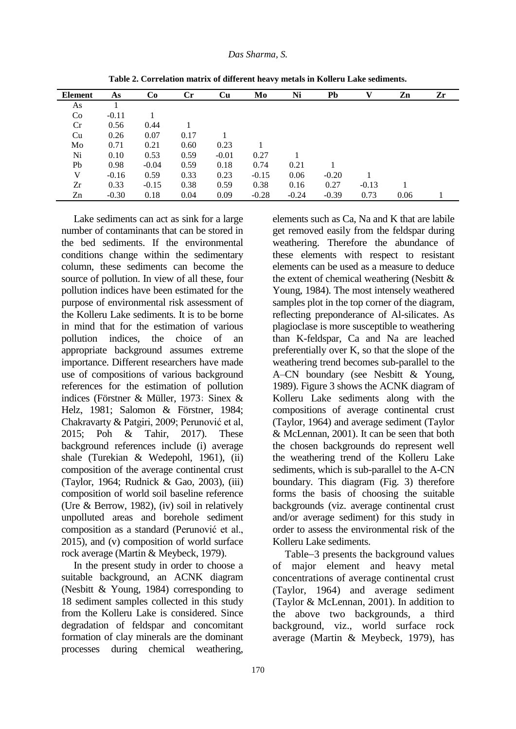| Element | As      | Co      | $\mathbf{C}$ r | <b>Cu</b> | Mo      | Ni      | Pb      |         | Zn   | Zr |
|---------|---------|---------|----------------|-----------|---------|---------|---------|---------|------|----|
| As      |         |         |                |           |         |         |         |         |      |    |
| Co      | $-0.11$ |         |                |           |         |         |         |         |      |    |
| Cr      | 0.56    | 0.44    |                |           |         |         |         |         |      |    |
| Cu      | 0.26    | 0.07    | 0.17           |           |         |         |         |         |      |    |
| Mo      | 0.71    | 0.21    | 0.60           | 0.23      |         |         |         |         |      |    |
| Ni      | 0.10    | 0.53    | 0.59           | $-0.01$   | 0.27    |         |         |         |      |    |
| Pb      | 0.98    | $-0.04$ | 0.59           | 0.18      | 0.74    | 0.21    |         |         |      |    |
| V       | $-0.16$ | 0.59    | 0.33           | 0.23      | $-0.15$ | 0.06    | $-0.20$ |         |      |    |
| Zr      | 0.33    | $-0.15$ | 0.38           | 0.59      | 0.38    | 0.16    | 0.27    | $-0.13$ |      |    |
| Zn      | $-0.30$ | 0.18    | 0.04           | 0.09      | $-0.28$ | $-0.24$ | $-0.39$ | 0.73    | 0.06 |    |

**Table 2. Correlation matrix of different heavy metals in Kolleru Lake sediments.**

Lake sediments can act as sink for a large number of contaminants that can be stored in the bed sediments. If the environmental conditions change within the sedimentary column, these sediments can become the source of pollution. In view of all these, four pollution indices have been estimated for the purpose of environmental risk assessment of the Kolleru Lake sediments. It is to be borne in mind that for the estimation of various pollution indices, the choice of an appropriate background assumes extreme importance. Different researchers have made use of compositions of various background references for the estimation of pollution indices (Förstner & Müller, 1973; Sinex & Helz, 1981; Salomon & Förstner, 1984; Chakravarty & Patgiri, 2009; Perunović et al, 2015; Poh & Tahir, 2017). These background references include (i) average shale (Turekian & Wedepohl, 1961), (ii) composition of the average continental crust (Taylor, 1964; Rudnick & Gao, 2003), (iii) composition of world soil baseline reference (Ure & Berrow, 1982), (iv) soil in relatively unpolluted areas and borehole sediment composition as a standard (Perunović et al., 2015), and (v) composition of world surface rock average (Martin & Meybeck, 1979).

In the present study in order to choose a suitable background, an ACNK diagram (Nesbitt & Young, 1984) corresponding to 18 sediment samples collected in this study from the Kolleru Lake is considered. Since degradation of feldspar and concomitant formation of clay minerals are the dominant processes during chemical weathering,

elements such as Ca, Na and K that are labile get removed easily from the feldspar during weathering. Therefore the abundance of these elements with respect to resistant elements can be used as a measure to deduce the extent of chemical weathering (Nesbitt & Young, 1984). The most intensely weathered samples plot in the top corner of the diagram, reflecting preponderance of Al-silicates. As plagioclase is more susceptible to weathering than K-feldspar, Ca and Na are leached preferentially over K, so that the slope of the weathering trend becomes sub-parallel to the A–CN boundary (see Nesbitt & Young, 1989). Figure 3 shows the ACNK diagram of Kolleru Lake sediments along with the compositions of average continental crust (Taylor, 1964) and average sediment (Taylor & McLennan, 2001). It can be seen that both the chosen backgrounds do represent well the weathering trend of the Kolleru Lake sediments, which is sub-parallel to the A-CN boundary. This diagram (Fig. 3) therefore forms the basis of choosing the suitable backgrounds (viz. average continental crust and/or average sediment) for this study in order to assess the environmental risk of the Kolleru Lake sediments.

Table-3 presents the background values of major element and heavy metal concentrations of average continental crust (Taylor, 1964) and average sediment (Taylor & McLennan, 2001). In addition to the above two backgrounds, a third background, viz., world surface rock average (Martin & Meybeck, 1979), has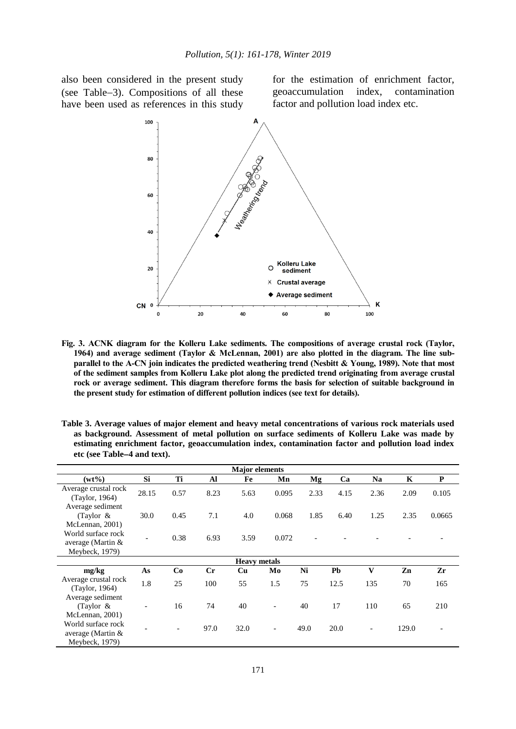also been considered in the present study (see Table-3). Compositions of all these have been used as references in this study for the estimation of enrichment factor, geoaccumulation index, contamination factor and pollution load index etc.



**Fig. 3. ACNK diagram for the Kolleru Lake sediments. The compositions of average crustal rock (Taylor, 1964) and average sediment (Taylor & McLennan, 2001) are also plotted in the diagram. The line subparallel to the A-CN join indicates the predicted weathering trend (Nesbitt & Young, 1989). Note that most of the sediment samples from Kolleru Lake plot along the predicted trend originating from average crustal rock or average sediment. This diagram therefore forms the basis for selection of suitable background in the present study for estimation of different pollution indices (see text for details).**

| Table 3. Average values of major element and heavy metal concentrations of various rock materials used |
|--------------------------------------------------------------------------------------------------------|
| as background. Assessment of metal pollution on surface sediments of Kolleru Lake was made by          |
| estimating enrichment factor, geoaccumulation index, contamination factor and pollution load index     |
| etc (see Table–4 and text).                                                                            |

| <b>Major</b> elements                                       |                          |      |             |                     |                          |      |      |                          |             |           |  |
|-------------------------------------------------------------|--------------------------|------|-------------|---------------------|--------------------------|------|------|--------------------------|-------------|-----------|--|
| $(wt\%)$                                                    | Si                       | Ti   | Al          | Fe                  | Mn                       | Mg   | Ca   | <b>Na</b>                | $\mathbf K$ | ${\bf P}$ |  |
| Average crustal rock<br>(Taylor, 1964)<br>Average sediment  | 28.15                    | 0.57 | 8.23        | 5.63                | 0.095                    | 2.33 | 4.15 | 2.36                     | 2.09        | 0.105     |  |
| (Taylor $\&$<br>McLennan, 2001)                             | 30.0                     | 0.45 | 7.1         | 4.0                 | 0.068                    | 1.85 | 6.40 | 1.25                     | 2.35        | 0.0665    |  |
| World surface rock<br>average (Martin $&$<br>Meybeck, 1979) |                          | 0.38 | 6.93        | 3.59                | 0.072                    |      |      |                          |             |           |  |
|                                                             |                          |      |             | <b>Heavy metals</b> |                          |      |      |                          |             |           |  |
| mg/kg                                                       | As                       | Co   | $_{\rm Cr}$ | Cu                  | Mo                       | Ni   | Pb   | $\mathbf{V}$             | Zn          | Zr        |  |
| Average crustal rock<br>(Taylor, 1964)                      | 1.8                      | 25   | 100         | 55                  | 1.5                      | 75   | 12.5 | 135                      | 70          | 165       |  |
| Average sediment<br>(Taylor $\&$<br>McLennan, 2001)         | $\overline{\phantom{a}}$ | 16   | 74          | 40                  | $\overline{\phantom{a}}$ | 40   | 17   | 110                      | 65          | 210       |  |
| World surface rock<br>average (Martin $&$<br>Meybeck, 1979) |                          |      | 97.0        | 32.0                | $\overline{\phantom{a}}$ | 49.0 | 20.0 | $\overline{\phantom{0}}$ | 129.0       |           |  |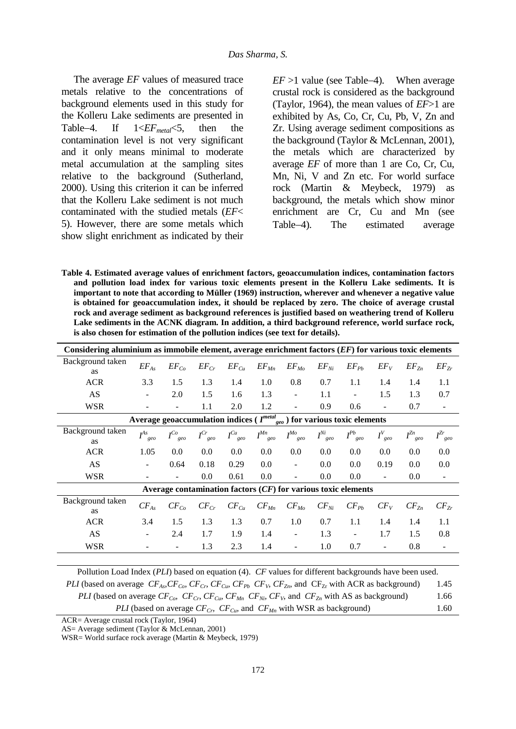The average *EF* values of measured trace metals relative to the concentrations of background elements used in this study for the Kolleru Lake sediments are presented in Table4. If 1<*EFmetal*<5, then the contamination level is not very significant and it only means minimal to moderate metal accumulation at the sampling sites relative to the background (Sutherland, 2000). Using this criterion it can be inferred that the Kolleru Lake sediment is not much contaminated with the studied metals (*EF*< 5). However, there are some metals which show slight enrichment as indicated by their  $EF > 1$  value (see Table-4). When average crustal rock is considered as the background (Taylor, 1964), the mean values of *EF*>1 are exhibited by As, Co, Cr, Cu, Pb, V, Zn and Zr. Using average sediment compositions as the background (Taylor & McLennan, 2001), the metals which are characterized by average *EF* of more than 1 are Co, Cr, Cu, Mn, Ni, V and Zn etc. For world surface rock (Martin & Meybeck, 1979) as background, the metals which show minor enrichment are Cr, Cu and Mn (see Table-4). The estimated average

**Table 4. Estimated average values of enrichment factors, geoaccumulation indices, contamination factors and pollution load index for various toxic elements present in the Kolleru Lake sediments. It is important to note that according to Müller (1969) instruction, wherever and whenever a negative value is obtained for geoaccumulation index, it should be replaced by zero. The choice of average crustal rock and average sediment as background references is justified based on weathering trend of Kolleru Lake sediments in the ACNK diagram. In addition, a third background reference, world surface rock, is also chosen for estimation of the pollution indices (see text for details).** 

| Considering aluminium as immobile element, average enrichment factors $(EF)$ for various toxic elements |                      |                            |                       |                |                                                                 |                          |                       |                         |                |                      |                          |
|---------------------------------------------------------------------------------------------------------|----------------------|----------------------------|-----------------------|----------------|-----------------------------------------------------------------|--------------------------|-----------------------|-------------------------|----------------|----------------------|--------------------------|
| Background taken<br><b>as</b>                                                                           | $EF_{As}$            | $EF_{Co}$                  | $EF_{Cr}$             | $EF_{Cu}$      | $EF$ <sub>Mn</sub>                                              | $EF_{Mo}$                | $EF_{Ni}$             | $EF_{Pb}$               | $EF_V$         | $EF_{Zn}$            | $EF_{Zr}$                |
| <b>ACR</b>                                                                                              | 3.3                  | 1.5                        | 1.3                   | 1.4            | 1.0                                                             | 0.8                      | 0.7                   | 1.1                     | 1.4            | 1.4                  | 1.1                      |
| AS                                                                                                      | $\blacksquare$       | 2.0                        | 1.5                   | 1.6            | 1.3                                                             | $\blacksquare$           | 1.1                   | $\blacksquare$          | 1.5            | 1.3                  | 0.7                      |
| WSR                                                                                                     |                      | ÷.                         | 1.1                   | 2.0            | 1.2                                                             |                          | 0.9                   | 0.6                     | $\overline{a}$ | 0.7                  | $\blacksquare$           |
| Average geoaccumulation indices ( $I^{metal}$<br>$\frac{u}{geo}$ ) for various toxic elements           |                      |                            |                       |                |                                                                 |                          |                       |                         |                |                      |                          |
| Background taken<br>as                                                                                  | $I^{As}_{\quad geo}$ | $I^{Co}_{\phantom{Co}geo}$ | $I^{Cr}_{\text{geo}}$ | $I^{Cu}_{geo}$ | $I^{Mn}$<br>geo                                                 | $I^{Mo}_{\quad geo}$     | $I^{Ni}_{\quad\,geo}$ | $I^{Pb}$ <sub>geo</sub> | $I_{geo}^V$    | $I^{Zn}_{\quad\,\,}$ | $I^{Zr}_{\;\;geo}$       |
| <b>ACR</b>                                                                                              | 1.05                 | 0.0                        | $0.0\,$               | $0.0\,$        | 0.0                                                             | 0.0                      | $0.0\,$               | 0.0                     | 0.0            | 0.0                  | 0.0                      |
| AS                                                                                                      | ÷                    | 0.64                       | 0.18                  | 0.29           | 0.0                                                             | $\overline{\phantom{a}}$ | 0.0                   | 0.0                     | 0.19           | 0.0                  | 0.0                      |
| WSR                                                                                                     |                      | -                          | $0.0\,$               | 0.61           | 0.0                                                             |                          | 0.0                   | 0.0                     |                | 0.0                  | $\overline{\phantom{a}}$ |
|                                                                                                         |                      |                            |                       |                | Average contamination factors $(CF)$ for various toxic elements |                          |                       |                         |                |                      |                          |
| Background taken<br><b>as</b>                                                                           | $CF_{As}$            | $CF_{Co}$                  | $CF_{Cr}$             | $CF_{Cu}$      | $CF_{Mn}$                                                       | $CF_{Mo}$                | $CF_{Ni}$             | $CF_{Pb}$               | $CF_V$         | $CF_{Zn}$            | $CF_{Zr}$                |
| <b>ACR</b>                                                                                              | 3.4                  | 1.5                        | 1.3                   | 1.3            | 0.7                                                             | 1.0                      | 0.7                   | 1.1                     | 1.4            | 1.4                  | 1.1                      |
| AS                                                                                                      |                      | 2.4                        | 1.7                   | 1.9            | 1.4                                                             | $\overline{\phantom{a}}$ | 1.3                   |                         | 1.7            | 1.5                  | 0.8                      |
| WSR                                                                                                     |                      | $\overline{\phantom{a}}$   | 1.3                   | 2.3            | 1.4                                                             | $\overline{\phantom{a}}$ | 1.0                   | 0.7                     | $\blacksquare$ | 0.8                  | $\overline{\phantom{a}}$ |

Pollution Load Index (*PLI*) based on equation (4). *CF* values for different backgrounds have been used. *PLI* (based on average  $CF_{As}$ ,  $CF_{Co}$ ,  $CF_{C}$ ,  $CF_{C}$ ,  $CF_{C}$ ,  $CF_{P}$ ,  $CF_{Y}$ ,  $CF_{Zn}$ , and  $CF_{Zr}$  with ACR as background) 1.45 *PLI* (based on average  $CF_{C_o}$ ,  $CF_{C_p}$ ,  $CF_{C_w}$ ,  $CF_{M_n}$ ,  $CF_{N_i}$ ,  $CF_{V_i}$ , and  $CF_{Z_n}$  with AS as background) 1.66 *PLI* (based on average *CFCr, CFCu,* and *CFMn* with WSR as background) 1.60

ACR= Average crustal rock (Taylor, 1964)

AS= Average sediment (Taylor & McLennan, 2001)

WSR= World surface rock average (Martin & Meybeck, 1979)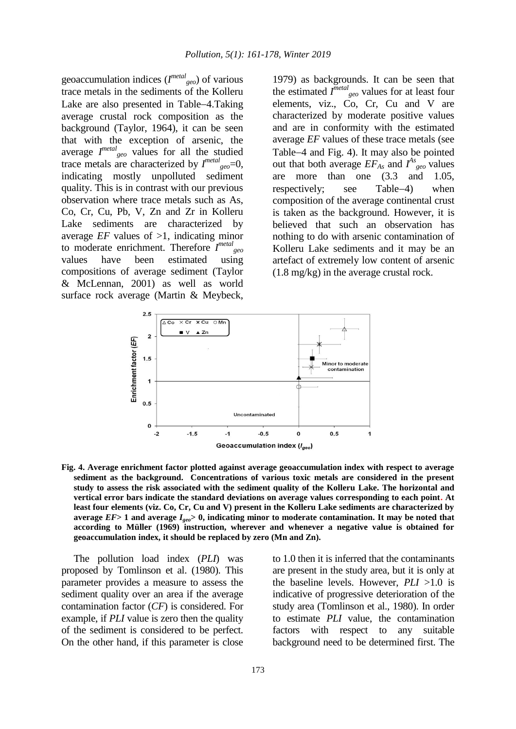geoaccumulation indices (*I metal geo*) of various trace metals in the sediments of the Kolleru Lake are also presented in Table-4.Taking average crustal rock composition as the background (Taylor, 1964), it can be seen that with the exception of arsenic, the average *I metal geo* values for all the studied trace metals are characterized by  $I^{metal}$ <sub>geo</sub>=0, indicating mostly unpolluted sediment quality. This is in contrast with our previous observation where trace metals such as As, Co, Cr, Cu, Pb, V, Zn and Zr in Kolleru Lake sediments are characterized by average *EF* values of  $>1$ , indicating minor to moderate enrichment. Therefore *I metal geo* values have been estimated using compositions of average sediment (Taylor & McLennan, 2001) as well as world surface rock average (Martin & Meybeck,

1979) as backgrounds. It can be seen that the estimated  $I^{metal}$ <sub>geo</sub> values for at least four elements, viz., Co, Cr, Cu and V are characterized by moderate positive values and are in conformity with the estimated average *EF* values of these trace metals (see Table-4 and Fig. 4). It may also be pointed out that both average  $EF_{As}$  and  $I_{geo}^{As}$  values are more than one (3.3 and 1.05, respectively; see Table-4) when composition of the average continental crust is taken as the background. However, it is believed that such an observation has nothing to do with arsenic contamination of Kolleru Lake sediments and it may be an artefact of extremely low content of arsenic (1.8 mg/kg) in the average crustal rock.



**Fig. 4. Average enrichment factor plotted against average geoaccumulation index with respect to average sediment as the background. Concentrations of various toxic metals are considered in the present study to assess the risk associated with the sediment quality of the Kolleru Lake. The horizontal and vertical error bars indicate the standard deviations on average values corresponding to each point. At least four elements (viz. Co, Cr, Cu and V) present in the Kolleru Lake sediments are characterized by average** *EF***> 1 and average** *Igeo***> 0, indicating minor to moderate contamination. It may be noted that according to Müller (1969) instruction, wherever and whenever a negative value is obtained for geoaccumulation index, it should be replaced by zero (Mn and Zn).** 

The pollution load index (*PLI*) was proposed by Tomlinson et al. (1980). This parameter provides a measure to assess the sediment quality over an area if the average contamination factor (*CF*) is considered. For example, if *PLI* value is zero then the quality of the sediment is considered to be perfect. On the other hand, if this parameter is close

to 1.0 then it is inferred that the contaminants are present in the study area, but it is only at the baseline levels. However, *PLI* >1.0 is indicative of progressive deterioration of the study area (Tomlinson et al., 1980). In order to estimate *PLI* value, the contamination factors with respect to any suitable background need to be determined first. The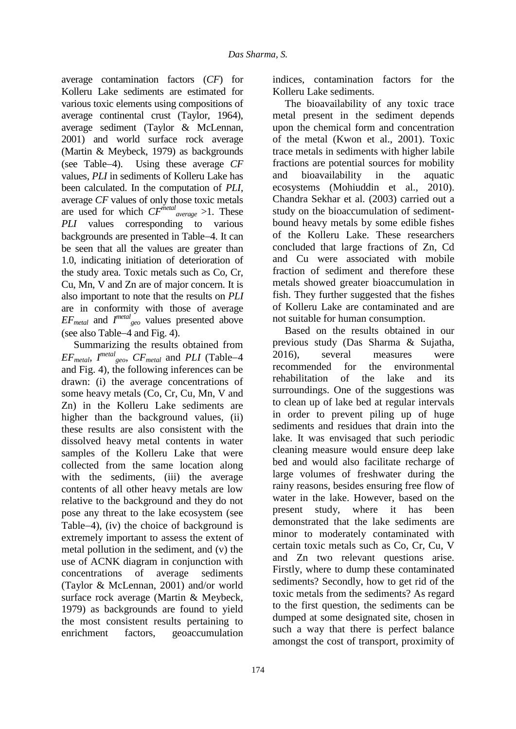average contamination factors (*CF*) for Kolleru Lake sediments are estimated for various toxic elements using compositions of average continental crust (Taylor, 1964), average sediment (Taylor & McLennan, 2001) and world surface rock average (Martin & Meybeck, 1979) as backgrounds (see Table-4). Using these average *CF* values, *PLI* in sediments of Kolleru Lake has been calculated. In the computation of *PLI*, average *CF* values of only those toxic metals are used for which *CFmetal average* >1. These *PLI* values corresponding to various backgrounds are presented in Table-4. It can be seen that all the values are greater than 1.0, indicating initiation of deterioration of the study area. Toxic metals such as Co, Cr, Cu, Mn, V and Zn are of major concern. It is also important to note that the results on *PLI* are in conformity with those of average  $EF_{metal}$  and  $I^{metal}$ <sub>geo</sub> values presented above (see also Table-4 and Fig. 4).

Summarizing the results obtained from  $EF_{metal}$ ,  $I^{metal}$ <sub>geo</sub>,  $CF_{metal}$  and  $PLI$  (Table–4 and Fig. 4), the following inferences can be drawn: (i) the average concentrations of some heavy metals (Co, Cr, Cu, Mn, V and Zn) in the Kolleru Lake sediments are higher than the background values, (ii) these results are also consistent with the dissolved heavy metal contents in water samples of the Kolleru Lake that were collected from the same location along with the sediments, (iii) the average contents of all other heavy metals are low relative to the background and they do not pose any threat to the lake ecosystem (see Table $-4$ ), (iv) the choice of background is extremely important to assess the extent of metal pollution in the sediment, and (v) the use of ACNK diagram in conjunction with concentrations of average sediments (Taylor & McLennan, 2001) and/or world surface rock average (Martin & Meybeck, 1979) as backgrounds are found to yield the most consistent results pertaining to enrichment factors, geoaccumulation

indices, contamination factors for the Kolleru Lake sediments.

The bioavailability of any toxic trace metal present in the sediment depends upon the chemical form and concentration of the metal (Kwon et al., 2001). Toxic trace metals in sediments with higher labile fractions are potential sources for mobility and bioavailability in the aquatic ecosystems (Mohiuddin et al., 2010). Chandra Sekhar et al. (2003) carried out a study on the bioaccumulation of sedimentbound heavy metals by some edible fishes of the Kolleru Lake. These researchers concluded that large fractions of Zn, Cd and Cu were associated with mobile fraction of sediment and therefore these metals showed greater bioaccumulation in fish. They further suggested that the fishes of Kolleru Lake are contaminated and are not suitable for human consumption.

Based on the results obtained in our previous study (Das Sharma & Sujatha, 2016), several measures were recommended for the environmental rehabilitation of the lake and its surroundings. One of the suggestions was to clean up of lake bed at regular intervals in order to prevent piling up of huge sediments and residues that drain into the lake. It was envisaged that such periodic cleaning measure would ensure deep lake bed and would also facilitate recharge of large volumes of freshwater during the rainy reasons, besides ensuring free flow of water in the lake. However, based on the present study, where it has been demonstrated that the lake sediments are minor to moderately contaminated with certain toxic metals such as Co, Cr, Cu, V and Zn two relevant questions arise. Firstly, where to dump these contaminated sediments? Secondly, how to get rid of the toxic metals from the sediments? As regard to the first question, the sediments can be dumped at some designated site, chosen in such a way that there is perfect balance amongst the cost of transport, proximity of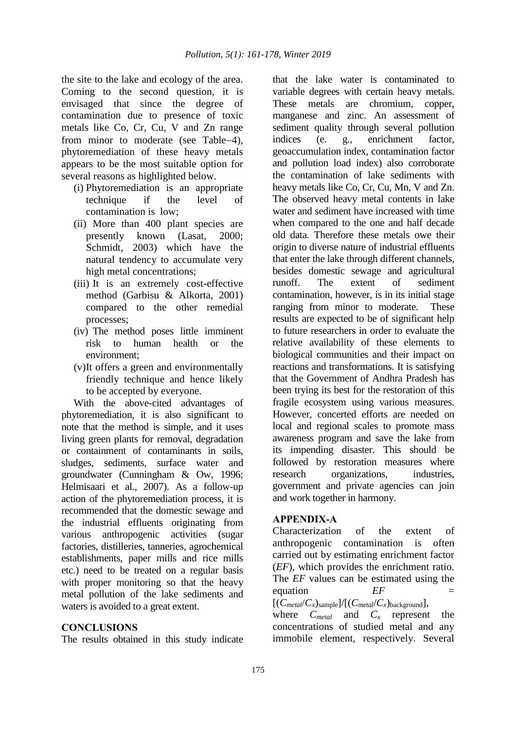the site to the lake and ecology of the area. Coming to the second question, it is envisaged that since the degree of contamination due to presence of toxic metals like Co, Cr, Cu, V and Zn range from minor to moderate (see Table-4), phytoremediation of these heavy metals appears to be the most suitable option for several reasons as highlighted below.

- (i) Phytoremediation is an appropriate technique if the level of contamination is low;
- (ii) More than 400 plant species are presently known (Lasat, 2000; Schmidt, 2003) which have the natural tendency to accumulate very high metal concentrations;
- (iii) It is an extremely cost-effective method (Garbisu & Alkorta, 2001) compared to the other remedial processes;
- (iv) The method poses little imminent risk to human health or the environment;
- (v)It offers a green and environmentally friendly technique and hence likely to be accepted by everyone.

With the above-cited advantages of phytoremediation, it is also significant to note that the method is simple, and it uses living green plants for removal, degradation or containment of contaminants in soils, sludges, sediments, surface water and groundwater (Cunningham & Ow, 1996; Helmisaari et al., 2007). As a follow-up action of the phytoremediation process, it is recommended that the domestic sewage and the industrial effluents originating from various anthropogenic activities (sugar factories, distilleries, tanneries, agrochemical establishments, paper mills and rice mills etc.) need to be treated on a regular basis with proper monitoring so that the heavy metal pollution of the lake sediments and waters is avoided to a great extent.

### **CONCLUSIONS**

The results obtained in this study indicate

that the lake water is contaminated to variable degrees with certain heavy metals. These metals are chromium, copper, manganese and zinc. An assessment of sediment quality through several pollution indices (e. g., enrichment factor, geoaccumulation index, contamination factor and pollution load index) also corroborate the contamination of lake sediments with heavy metals like Co, Cr, Cu, Mn, V and Zn. The observed heavy metal contents in lake water and sediment have increased with time when compared to the one and half decade old data. Therefore these metals owe their origin to diverse nature of industrial effluents that enter the lake through different channels, besides domestic sewage and agricultural runoff. The extent of sediment contamination, however, is in its initial stage ranging from minor to moderate. These results are expected to be of significant help to future researchers in order to evaluate the relative availability of these elements to biological communities and their impact on reactions and transformations. It is satisfying that the Government of Andhra Pradesh has been trying its best for the restoration of this fragile ecosystem using various measures. However, concerted efforts are needed on local and regional scales to promote mass awareness program and save the lake from its impending disaster. This should be followed by restoration measures where research organizations, industries, government and private agencies can join and work together in harmony.

## **APPENDIX-A**

Characterization of the extent of anthropogenic contamination is often carried out by estimating enrichment factor (*EF*), which provides the enrichment ratio. The *EF* values can be estimated using the equation *EF*  $[(C_{metal}/C_x)_{sample}]/[(C_{metal}/C_x)_{background}],$ 

where  $C_{metal}$  and  $C_x$  represent the concentrations of studied metal and any immobile element, respectively. Several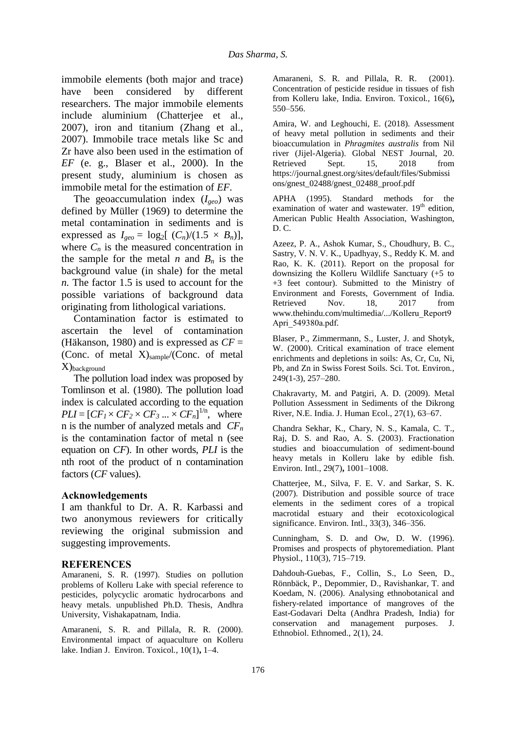immobile elements (both major and trace) have been considered by different researchers. The major immobile elements include aluminium (Chatterjee et al., 2007), iron and titanium (Zhang et al., 2007). Immobile trace metals like Sc and Zr have also been used in the estimation of *EF* (e. g., Blaser et al., 2000). In the present study, aluminium is chosen as immobile metal for the estimation of *EF*.

The geoaccumulation index (*Igeo*) was defined by Müller (1969) to determine the metal contamination in sediments and is expressed as  $I_{geo} = \log_2[(C_n)/(1.5 \times B_n)],$ where  $C_n$  is the measured concentration in the sample for the metal *n* and  $B_n$  is the background value (in shale) for the metal *n.* The factor 1.5 is used to account for the possible variations of background data originating from lithological variations.

Contamination factor is estimated to ascertain the level of contamination (Häkanson, 1980) and is expressed as *CF* = (Conc. of metal  $X$ )<sub>sample</sub>/(Conc. of metal X)background

The pollution load index was proposed by Tomlinson et al. (1980). The pollution load index is calculated according to the equation  $PLI = [CF_I \times CF_2 \times CF_3 ... \times CF_n]^{1/n}$ , where n is the number of analyzed metals and *CF<sup>n</sup>* is the contamination factor of metal n (see equation on *CF*). In other words, *PLI* is the nth root of the product of n contamination factors (*CF* values).

### **Acknowledgements**

I am thankful to Dr. A. R. Karbassi and two anonymous reviewers for critically reviewing the original submission and suggesting improvements.

#### **REFERENCES**

Amaraneni, S. R. (1997). Studies on pollution problems of Kolleru Lake with special reference to pesticides, polycyclic aromatic hydrocarbons and heavy metals. unpublished Ph.D. Thesis, Andhra University, Vishakapatnam, India.

Amaraneni, S. R. and Pillala, R. R. (2000). Environmental impact of aquaculture on Kolleru lake. Indian J. Environ. Toxicol*.*, 10(1)**,** 1–4.

Amaraneni, S. R. and Pillala, R. R. (2001). Concentration of pesticide residue in tissues of fish from Kolleru lake, India. Environ. Toxicol*.*, 16(6)**,** 550–556.

Amira, W. and Leghouchi, E. (2018). Assessment of heavy metal pollution in sediments and their bioaccumulation in *Phragmites australis* from Nil river (Jijel-Algeria). Global NEST Journal, 20. Retrieved Sept. 15, 2018 from https://journal.gnest.org/sites/default/files/Submissi ons/gnest\_02488/gnest\_02488\_proof.pdf

APHA (1995). Standard methods for the examination of water and wastewater.  $19<sup>th</sup>$  edition, American Public Health Association, Washington, D. C.

Azeez, P. A., Ashok Kumar, S., Choudhury, B. C., Sastry, V. N. V. K., Upadhyay, S., Reddy K. M. and Rao, K. K. (2011). Report on the proposal for downsizing the Kolleru Wildlife Sanctuary (+5 to +3 feet contour). Submitted to the Ministry of Environment and Forests, Government of India. Retrieved Nov. 18, 2017 from www.thehindu.com/multimedia/.../Kolleru Report9 Apri 549380a.pdf.

Blaser, P., Zimmermann, S., Luster, J. and Shotyk, W. (2000). Critical examination of trace element enrichments and depletions in soils: As, Cr, Cu, Ni, Pb, and Zn in Swiss Forest Soils. Sci. Tot. Environ*.*, 249(1-3), 257–280.

Chakravarty, M. and Patgiri, A. D. (2009). Metal Pollution Assessment in Sediments of the Dikrong River, N.E. India. J. Human Ecol., 27(1), 63–67.

Chandra Sekhar, K., Chary, N. S., Kamala, C. T., Raj, D. S. and Rao, A. S. (2003). Fractionation studies and bioaccumulation of sediment-bound heavy metals in Kolleru lake by edible fish. Environ. Intl., 29(7)**,** 1001–1008.

Chatterjee, M., Silva, F. E. V. and Sarkar, S. K. (2007). Distribution and possible source of trace elements in the sediment cores of a tropical macrotidal estuary and their ecotoxicological significance. Environ. Intl., 33(3), 346–356.

Cunningham, S. D. and Ow, D. W. (1996). Promises and prospects of phytoremediation. Plant Physiol., 110(3), 715–719.

Dahdouh-Guebas, F., Collin, S., Lo Seen, D., Rönnbäck, P., Depommier, D., Ravishankar, T. and Koedam, N. (2006). Analysing ethnobotanical and fishery-related importance of mangroves of the East-Godavari Delta (Andhra Pradesh, India) for conservation and management purposes. J. Ethnobiol. Ethnomed., 2(1), 24.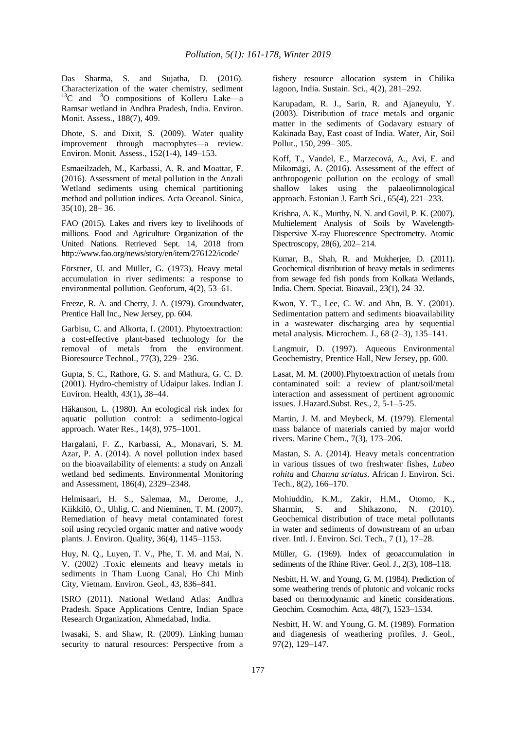Das Sharma, S. and Sujatha, D. (2016). Characterization of the water chemistry, sediment  $^{13}$ C and  $^{18}$ O compositions of Kolleru Lake—a Ramsar wetland in Andhra Pradesh, India. Environ. Monit. Assess., 188(7), 409.

Dhote, S. and Dixit, S. (2009). Water quality improvement through macrophytes*—*a review. Environ. Monit. Assess., 152(1-4), 149–153.

Esmaeilzadeh, M., Karbassi, A. R. and Moattar, F. (2016). Assessment of metal pollution in the Anzali Wetland sediments using chemical partitioning method and pollution indices. Acta Oceanol. Sinica, 35(10), 28– 36.

FAO (2015). Lakes and rivers key to livelihoods of millions. Food and Agriculture Organization of the United Nations. Retrieved Sept. 14, 2018 from http://www.fao.org/news/story/en/item/276122/icode/

Förstner, U. and Müller, G. (1973). Heavy metal accumulation in river sediments: a response to environmental pollution. Geoforum, 4(2), 53–61.

Freeze, R. A. and Cherry, J. A. (1979). Groundwater, Prentice Hall Inc., New Jersey, pp. 604.

Garbisu, C. and Alkorta, I. (2001). Phytoextraction: a cost-effective plant-based technology for the removal of metals from the environment. Bioresource Technol., 77(3), 229– 236.

Gupta, S. C., Rathore, G. S. and Mathura, G. C. D. (2001). Hydro-chemistry of Udaipur lakes. Indian J. Environ. Health, 43(1)**,** 38–44.

Häkanson, L. (1980). An ecological risk index for aquatic pollution control: a sedimento-logical approach. Water Res., 14(8), 975–1001.

Hargalani, F. Z., Karbassi, A., Monavari, S. M. Azar, P. A. (2014). A novel pollution index based on the bioavailability of elements: a study on Anzali wetland bed sediments. Environmental Monitoring and Assessment, 186(4), 2329–2348.

Helmisaari, H. S., Salemaa, M., Derome, J., Kiikkilö, O., Uhlig, C. and Nieminen, T. M. (2007). Remediation of heavy metal contaminated forest soil using recycled organic matter and native woody plants. J. Environ. Quality, 36(4), 1145–1153.

Huy, N. Q., Luyen, T. V., Phe, T. M. and Mai, N. V. (2002) .Toxic elements and heavy metals in sediments in Tham Luong Canal, Ho Chi Minh City, Vietnam. Environ. Geol., 43, 836–841.

ISRO (2011). National Wetland Atlas: Andhra Pradesh. Space Applications Centre, Indian Space Research Organization, Ahmedabad, India.

Iwasaki, S. and Shaw, R. (2009). Linking human security to natural resources: Perspective from a fishery resource allocation system in Chilika lagoon, India. Sustain. Sci., 4(2), 281–292.

Karupadam, R. J., Sarin, R. and Ajaneyulu, Y. (2003). Distribution of trace metals and organic matter in the sediments of Godavary estuary of Kakinada Bay, East coast of India. Water, Air, Soil Pollut., 150, 299– 305.

Koff, T., Vandel, E., Marzecová, A., Avi, E. and Mikomägi, A. (2016). Assessment of the effect of anthropogenic pollution on the ecology of small shallow lakes using the palaeolimnological approach. Estonian J. Earth Sci., 65(4), 221–233.

Krishna, A. K., Murthy, N. N. and Govil, P. K. (2007). Multielement Analysis of Soils by Wavelength-Dispersive X-ray Fluorescence Spectrometry. Atomic Spectroscopy, 28(6), 202– 214.

Kumar, B., Shah, R. and Mukherjee, D. (2011). Geochemical distribution of heavy metals in sediments from sewage fed fish ponds from Kolkata Wetlands, India. Chem. Speciat. Bioavail., 23(1), 24–32.

Kwon, Y. T., Lee, C. W. and Ahn, B. Y. (2001). Sedimentation pattern and sediments bioavailability in a wastewater discharging area by sequential metal analysis. Microchem. J., 68 (2–3), 135–141.

Langmuir, D. (1997). Aqueous Environmental Geochemistry, Prentice Hall, New Jersey, pp. 600.

Lasat, M. M. (2000).Phytoextraction of metals from contaminated soil: a review of plant/soil/metal interaction and assessment of pertinent agronomic issues. J.Hazard.Subst. Res., 2, 5-1–5-25.

Martin, J. M. and Meybeck, M. (1979). Elemental mass balance of materials carried by major world rivers. Marine Chem., 7(3), 173–206.

Mastan, S. A. (2014). Heavy metals concentration in various tissues of two freshwater fishes, *Labeo rohita* and *Channa striatus*. African J. Environ. Sci. Tech., 8(2), 166–170.

Mohiuddin, K.M., Zakir, H.M., Otomo, K., Sharmin, S. and Shikazono, N. (2010). Geochemical distribution of trace metal pollutants in water and sediments of downstream of an urban river. Intl. J. Environ. Sci. Tech., 7 (1), 17–28.

Müller, G. (1969). Index of geoaccumulation in sediments of the Rhine River. Geol. J., 2(3), 108–118.

Nesbitt, H. W. and Young, G. M. (1984). Prediction of some weathering trends of plutonic and volcanic rocks based on thermodynamic and kinetic considerations. Geochim. Cosmochim. Acta, 48(7), 1523–1534.

Nesbitt, H. W. and Young, G. M. (1989). Formation and diagenesis of weathering profiles. J. Geol., 97(2), 129–147.